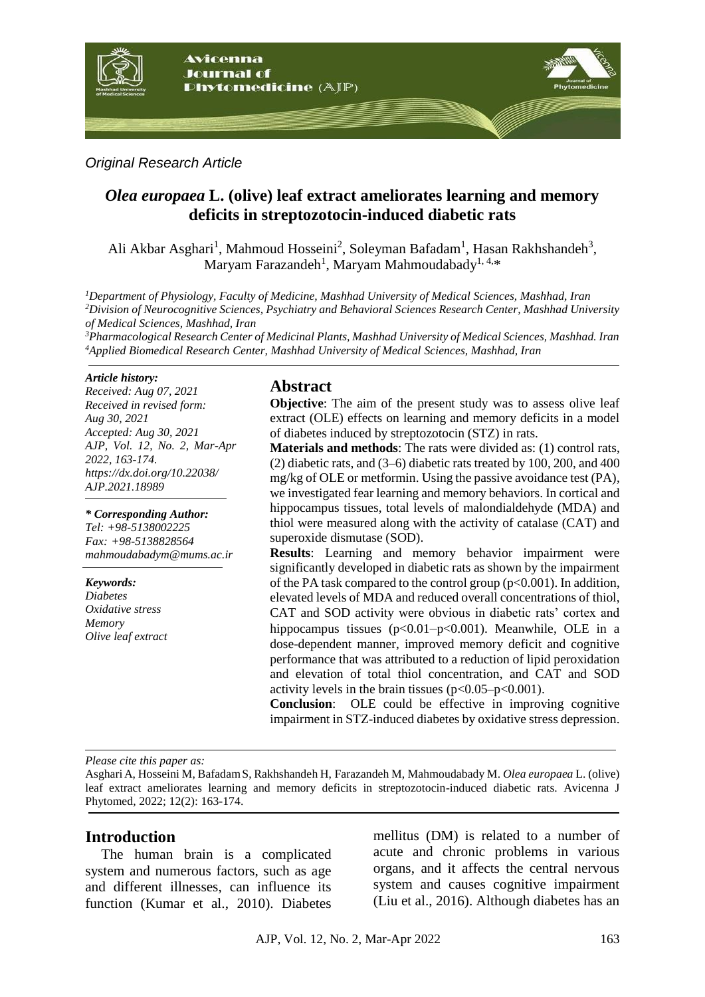

#### *Original Research Article*

# *Olea europaea* **L. (olive) leaf extract ameliorates learning and memory deficits in streptozotocin-induced diabetic rats**

Ali Akbar Asghari<sup>1</sup>, Mahmoud Hosseini<sup>2</sup>, Soleyman Bafadam<sup>1</sup>, Hasan Rakhshandeh<sup>3</sup>, Maryam Farazandeh $^1$ , Maryam Mahmoudabady $^{1,\,4,*}$ 

*<sup>1</sup>Department of Physiology, Faculty of Medicine, Mashhad University of Medical Sciences, Mashhad, Iran <sup>2</sup>Division of Neurocognitive Sciences, Psychiatry and Behavioral Sciences Research Center, Mashhad University of Medical Sciences, Mashhad, Iran*

*<sup>3</sup>Pharmacological Research Center of Medicinal Plants, Mashhad University of Medical Sciences, Mashhad. Iran <sup>4</sup>Applied Biomedical Research Center, Mashhad University of Medical Sciences, Mashhad, Iran*

#### *Article history:*

*Received: Aug 07, 2021 Received in revised form: Aug 30, 2021 Accepted: Aug 30, 2021 AJP, Vol. 12, No. 2, Mar-Apr 2022, 163-174. https://dx.doi.org/10.22038/ AJP.2021.18989*

*\* Corresponding Author:*

*Tel: +98-5138002225 Fax: +98-5138828564 [mahmoudabadym@mums.ac.ir](mailto:mahmoudabadym@mums.ac.ir)*

*Keywords: Diabetes*

*Oxidative stress Memory Olive leaf extract* 

## **Abstract**

**Objective**: The aim of the present study was to assess olive leaf extract (OLE) effects on learning and memory deficits in a model of diabetes induced by streptozotocin (STZ) in rats.

**Materials and methods**: The rats were divided as: (1) control rats, (2) diabetic rats, and (3–6) diabetic rats treated by 100, 200, and 400 mg/kg of OLE or metformin. Using the passive avoidance test (PA), we investigated fear learning and memory behaviors. In cortical and hippocampus tissues, total levels of malondialdehyde (MDA) and thiol were measured along with the activity of catalase (CAT) and superoxide dismutase (SOD).

**Results**: Learning and memory behavior impairment were significantly developed in diabetic rats as shown by the impairment of the PA task compared to the control group  $(p<0.001)$ . In addition, elevated levels of MDA and reduced overall concentrations of thiol, CAT and SOD activity were obvious in diabetic rats' cortex and hippocampus tissues (p<0.01–p<0.001). Meanwhile, OLE in a dose-dependent manner, improved memory deficit and cognitive performance that was attributed to a reduction of lipid peroxidation and elevation of total thiol concentration, and CAT and SOD activity levels in the brain tissues  $(p<0.05-p<0.001)$ .

**Conclusion**: OLE could be effective in improving cognitive impairment in STZ-induced diabetes by oxidative stress depression.

*Please cite this paper as:* 

Asghari A, Hosseini M, BafadamS, Rakhshandeh H, Farazandeh M, Mahmoudabady M. *Olea europaea* L. (olive) leaf extract ameliorates learning and memory deficits in streptozotocin-induced diabetic rats. Avicenna J Phytomed, 2022; 12(2): 163-174.

## **Introduction**

The human brain is a complicated system and numerous factors, such as age and different illnesses, can influence its function (Kumar et al., 2010). Diabetes mellitus (DM) is related to a number of acute and chronic problems in various organs, and it affects the central nervous system and causes cognitive impairment (Liu et al., 2016). Although diabetes has an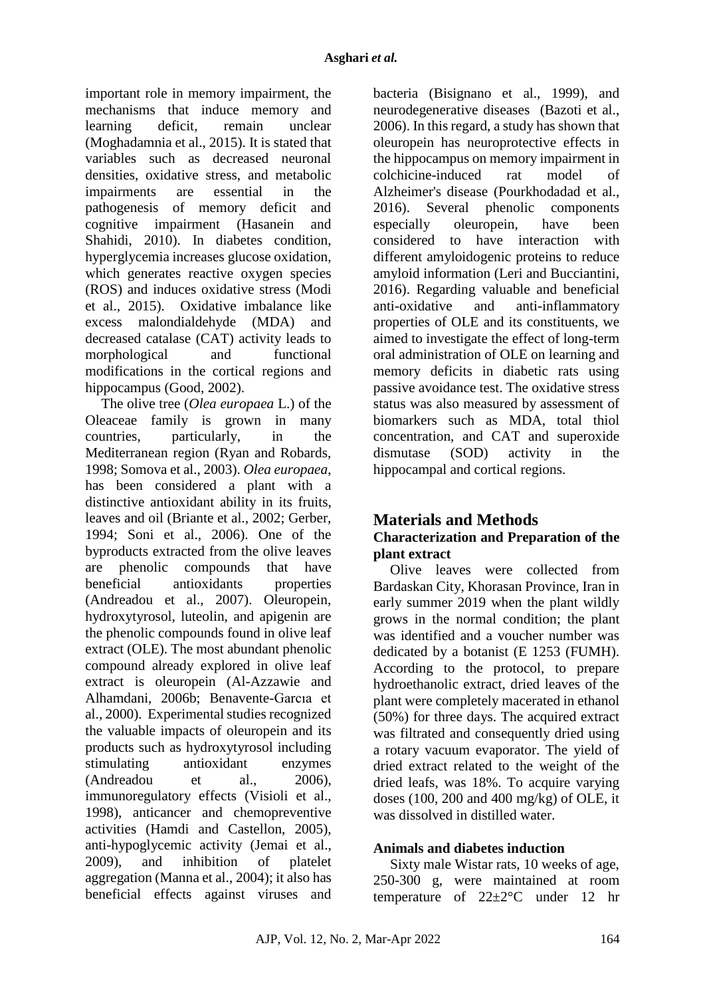important role in memory impairment, the mechanisms that induce memory and learning deficit, remain unclear (Moghadamnia et al., 2015). It is stated that variables such as decreased neuronal densities, oxidative stress, and metabolic impairments are essential in the pathogenesis of memory deficit and cognitive impairment (Hasanein and Shahidi, 2010). In diabetes condition, hyperglycemia increases glucose oxidation, which generates reactive oxygen species (ROS) and induces oxidative stress (Modi et al., 2015). Oxidative imbalance like excess malondialdehyde (MDA) and decreased catalase (CAT) activity leads to morphological and functional modifications in the cortical regions and hippocampus (Good, 2002).

The olive tree (*Olea europaea* L.) of the Oleaceae family is grown in many countries, particularly, in the Mediterranean region (Ryan and Robards, 1998; Somova et al., 2003). *Olea europaea*, has been considered a plant with a distinctive antioxidant ability in its fruits, leaves and oil (Briante et al., 2002; Gerber, 1994; Soni et al., 2006). One of the byproducts extracted from the olive leaves are phenolic compounds that have beneficial antioxidants properties (Andreadou et al., 2007). Oleuropein, hydroxytyrosol, luteolin, and apigenin are the phenolic compounds found in olive leaf extract (OLE). The most abundant phenolic compound already explored in olive leaf extract is oleuropein (Al-Azzawie and Alhamdani, 2006b; Benavente-Garcıa et al., 2000). Experimental studies recognized the valuable impacts of oleuropein and its products such as hydroxytyrosol including stimulating antioxidant enzymes (Andreadou et al., 2006), immunoregulatory effects (Visioli et al., 1998), anticancer and chemopreventive activities (Hamdi and Castellon, 2005), anti-hypoglycemic activity (Jemai et al., 2009), and inhibition of platelet aggregation (Manna et al., 2004); it also has beneficial effects against viruses and

bacteria (Bisignano et al., 1999), and neurodegenerative diseases (Bazoti et al., 2006). In this regard, a study has shown that oleuropein has neuroprotective effects in the hippocampus on memory impairment in colchicine-induced rat model of Alzheimer's disease (Pourkhodadad et al., 2016). Several phenolic components especially oleuropein, have been considered to have interaction with different amyloidogenic proteins to reduce amyloid information (Leri and Bucciantini, 2016). Regarding valuable and beneficial anti-oxidative and anti-inflammatory properties of OLE and its constituents, we aimed to investigate the effect of long-term oral administration of OLE on learning and memory deficits in diabetic rats using passive avoidance test. The oxidative stress status was also measured by assessment of biomarkers such as MDA, total thiol concentration, and CAT and superoxide dismutase (SOD) activity in the hippocampal and cortical regions.

## **Materials and Methods Characterization and Preparation of the plant extract**

Olive leaves were collected from Bardaskan City, Khorasan Province, Iran in early summer 2019 when the plant wildly grows in the normal condition; the plant was identified and a voucher number was dedicated by a botanist (E 1253 (FUMH). According to the protocol, to prepare hydroethanolic extract, dried leaves of the plant were completely macerated in ethanol (50%) for three days. The acquired extract was filtrated and consequently dried using a rotary vacuum evaporator. The yield of dried extract related to the weight of the dried leafs, was 18%. To acquire varying doses (100, 200 and 400 mg/kg) of OLE, it was dissolved in distilled water.

## **Animals and diabetes induction**

Sixty male Wistar rats, 10 weeks of age, 250-300 g, were maintained at room temperature of 22±2°C under 12 hr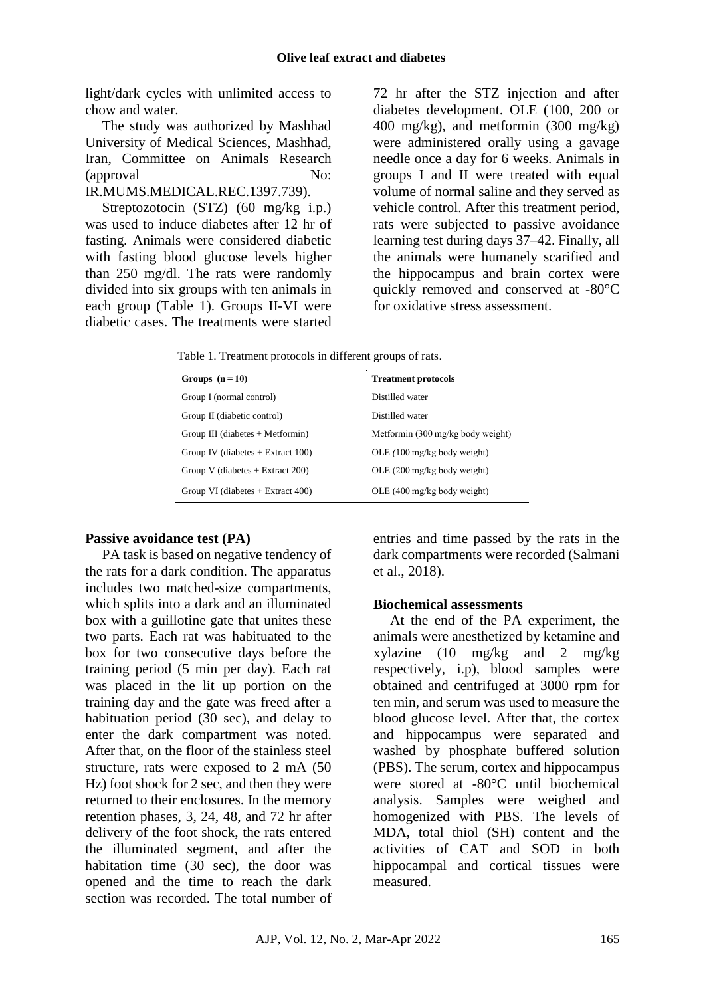light/dark cycles with unlimited access to chow and water.

The study was authorized by Mashhad University of Medical Sciences, Mashhad, Iran, Committee on Animals Research (approval No: IR.MUMS.MEDICAL.REC.1397.739).

Streptozotocin (STZ) (60 mg/kg i.p.) was used to induce diabetes after 12 hr of fasting. Animals were considered diabetic with fasting blood glucose levels higher than 250 mg/dl. The rats were randomly divided into six groups with ten animals in each group (Table 1). Groups II-VI were diabetic cases. The treatments were started 72 hr after the STZ injection and after diabetes development. OLE (100, 200 or 400 mg/kg), and metformin  $(300 \text{ mg/kg})$ were administered orally using a gavage needle once a day for 6 weeks. Animals in groups I and II were treated with equal volume of normal saline and they served as vehicle control. After this treatment period, rats were subjected to passive avoidance learning test during days 37–42. Finally, all the animals were humanely scarified and the hippocampus and brain cortex were quickly removed and conserved at -80°C for oxidative stress assessment.

Table 1. Treatment protocols in different groups of rats.

| Groups $(n=10)$                     | <b>Treatment protocols</b>        |
|-------------------------------------|-----------------------------------|
| Group I (normal control)            | Distilled water                   |
| Group II (diabetic control)         | Distilled water                   |
| Group III (diabetes $+$ Metformin)  | Metformin (300 mg/kg body weight) |
| Group IV (diabetes $+$ Extract 100) | $OLE (100 mg/kg$ body weight)     |
| Group V (diabetes $+$ Extract 200)  | $OLE (200 mg/kg$ body weight)     |
| Group VI (diabetes $+$ Extract 400) | $OLE (400 mg/kg$ body weight)     |

## **Passive avoidance test (PA)**

PA task is based on negative tendency of the rats for a dark condition. The apparatus includes two matched-size compartments, which splits into a dark and an illuminated box with a guillotine gate that unites these two parts. Each rat was habituated to the box for two consecutive days before the training period (5 min per day). Each rat was placed in the lit up portion on the training day and the gate was freed after a habituation period (30 sec), and delay to enter the dark compartment was noted. After that, on the floor of the stainless steel structure, rats were exposed to 2 mA (50 Hz) foot shock for 2 sec, and then they were returned to their enclosures. In the memory retention phases, 3, 24, 48, and 72 hr after delivery of the foot shock, the rats entered the illuminated segment, and after the habitation time (30 sec), the door was opened and the time to reach the dark section was recorded. The total number of entries and time passed by the rats in the dark compartments were recorded (Salmani et al., 2018).

#### **Biochemical assessments**

At the end of the PA experiment, the animals were anesthetized by ketamine and xylazine (10 mg/kg and 2 mg/kg respectively, i.p), blood samples were obtained and centrifuged at 3000 rpm for ten min, and serum was used to measure the blood glucose level. After that, the cortex and hippocampus were separated and washed by phosphate buffered solution (PBS). The serum, cortex and hippocampus were stored at -80°C until biochemical analysis. Samples were weighed and homogenized with PBS. The levels of MDA, total thiol (SH) content and the activities of CAT and SOD in both hippocampal and cortical tissues were measured.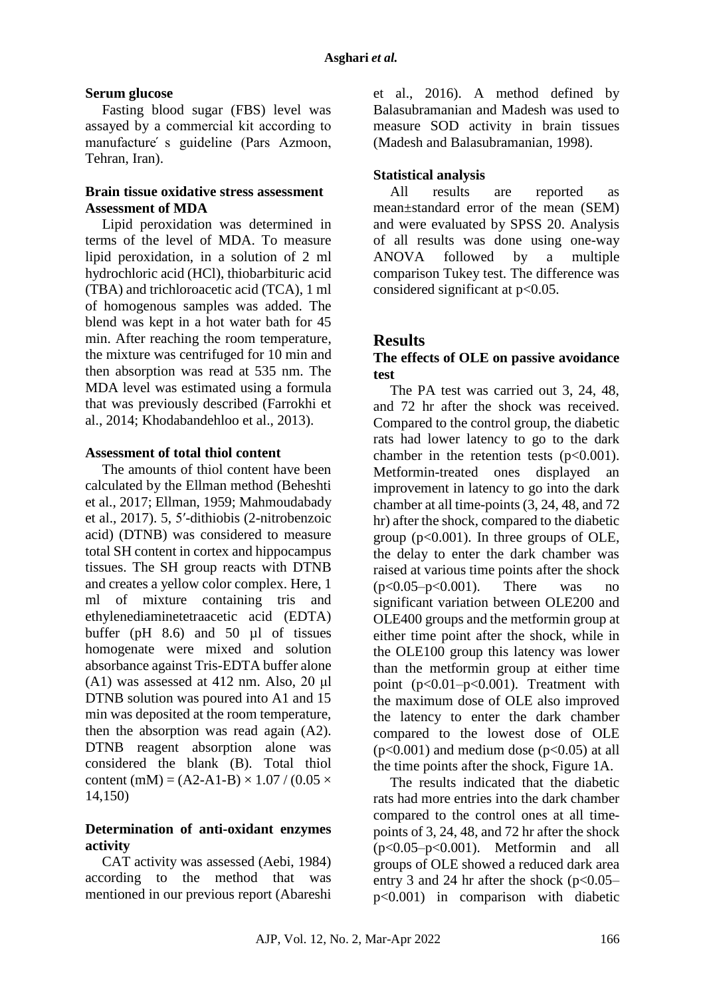#### **Serum glucose**

Fasting blood sugar (FBS) level was assayed by a commercial kit according to manufacturé s guideline (Pars Azmoon, Tehran, Iran).

#### **Brain tissue oxidative stress assessment Assessment of MDA**

Lipid peroxidation was determined in terms of the level of MDA. To measure lipid peroxidation, in a solution of 2 ml hydrochloric acid (HCl), thiobarbituric acid (TBA) and trichloroacetic acid (TCA), 1 ml of homogenous samples was added. The blend was kept in a hot water bath for 45 min. After reaching the room temperature, the mixture was centrifuged for 10 min and then absorption was read at 535 nm. The MDA level was estimated using a formula that was previously described (Farrokhi et al., 2014; Khodabandehloo et al., 2013).

#### **Assessment of total thiol content**

The amounts of thiol content have been calculated by the Ellman method (Beheshti et al., 2017; Ellman, 1959; Mahmoudabady et al., 2017). 5, 5′-dithiobis (2-nitrobenzoic acid) (DTNB) was considered to measure total SH content in cortex and hippocampus tissues. The SH group reacts with DTNB and creates a yellow color complex. Here, 1 ml of mixture containing tris and ethylenediaminetetraacetic acid (EDTA) buffer (pH 8.6) and 50 µl of tissues homogenate were mixed and solution absorbance against Tris-EDTA buffer alone (A1) was assessed at 412 nm. Also, 20 μl DTNB solution was poured into A1 and 15 min was deposited at the room temperature, then the absorption was read again (A2). DTNB reagent absorption alone was considered the blank (B). Total thiol content (mM) =  $(A2-A1-B) \times 1.07 / (0.05 \times$ 14,150)

## **Determination of anti-oxidant enzymes activity**

CAT activity was assessed (Aebi, 1984) according to the method that was mentioned in our previous report (Abareshi

et al., 2016). A method defined by Balasubramanian and Madesh was used to measure SOD activity in brain tissues (Madesh and Balasubramanian, 1998).

## **Statistical analysis**

All results are reported as mean±standard error of the mean (SEM) and were evaluated by SPSS 20. Analysis of all results was done using one-way ANOVA followed by a multiple comparison Tukey test. The difference was considered significant at p<0.05.

## **Results**

#### **The effects of OLE on passive avoidance test**

The PA test was carried out 3, 24, 48, and 72 hr after the shock was received. Compared to the control group, the diabetic rats had lower latency to go to the dark chamber in the retention tests  $(p<0.001)$ . Metformin-treated ones displayed an improvement in latency to go into the dark chamber at all time-points (3, 24, 48, and 72 hr) after the shock, compared to the diabetic group  $(p<0.001)$ . In three groups of OLE, the delay to enter the dark chamber was raised at various time points after the shock (p<0.05–p<0.001). There was no significant variation between OLE200 and OLE400 groups and the metformin group at either time point after the shock, while in the OLE100 group this latency was lower than the metformin group at either time point (p<0.01–p<0.001). Treatment with the maximum dose of OLE also improved the latency to enter the dark chamber compared to the lowest dose of OLE  $(p<0.001)$  and medium dose  $(p<0.05)$  at all the time points after the shock, Figure 1A.

The results indicated that the diabetic rats had more entries into the dark chamber compared to the control ones at all timepoints of 3, 24, 48, and 72 hr after the shock  $(p<0.05-p<0.001)$ . Metformin and all groups of OLE showed a reduced dark area entry 3 and 24 hr after the shock  $(p<0.05-$ p<0.001) in comparison with diabetic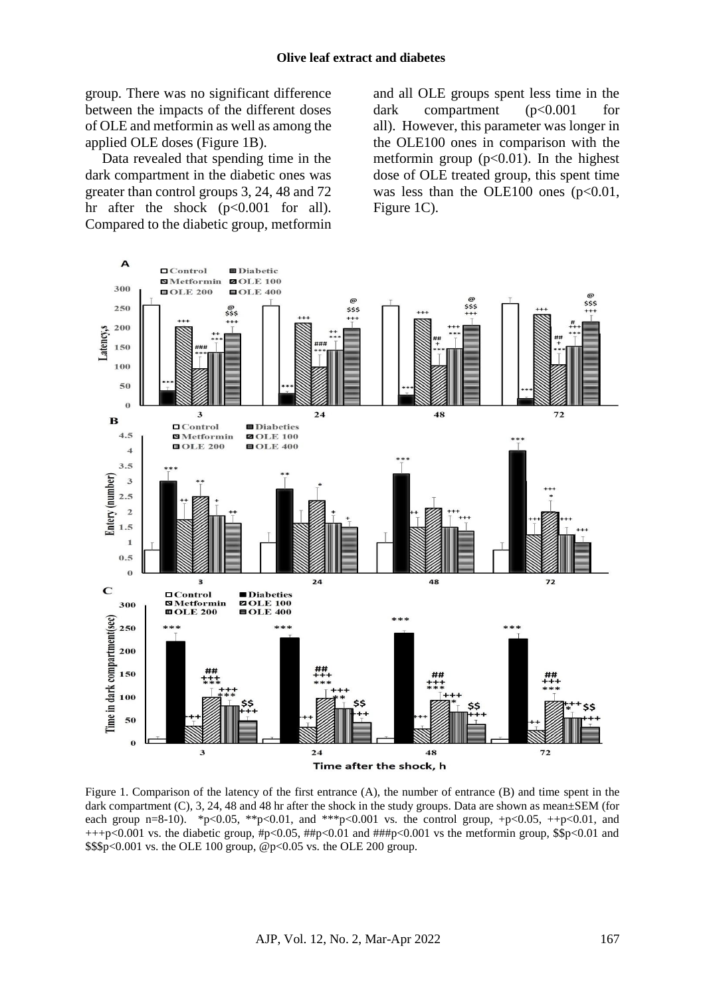group. There was no significant difference between the impacts of the different doses of OLE and metformin as well as among the applied OLE doses (Figure 1B).

Data revealed that spending time in the dark compartment in the diabetic ones was greater than control groups 3, 24, 48 and 72 hr after the shock  $(p<0.001$  for all). Compared to the diabetic group, metformin

and all OLE groups spent less time in the dark compartment  $(p<0.001$  for all). However, this parameter was longer in the OLE100 ones in comparison with the metformin group  $(p<0.01)$ . In the highest dose of OLE treated group, this spent time was less than the OLE100 ones  $(p<0.01$ , Figure 1C).



Figure 1. Comparison of the latency of the first entrance (A), the number of entrance (B) and time spent in the dark compartment (C), 3, 24, 48 and 48 hr after the shock in the study groups. Data are shown as mean±SEM (for each group n=8-10). \*p<0.05, \*\*p<0.01, and \*\*\*p<0.001 vs. the control group, +p<0.05, ++p<0.01, and +++p<0.001 vs. the diabetic group,  $\#p<0.05$ ,  $\#tp<0.01$  and  $\# \#p<0.001$  vs the metformin group,  $\$p<0.01$  and \$\$\$p<0.001 vs. the OLE 100 group, @p<0.05 vs. the OLE 200 group.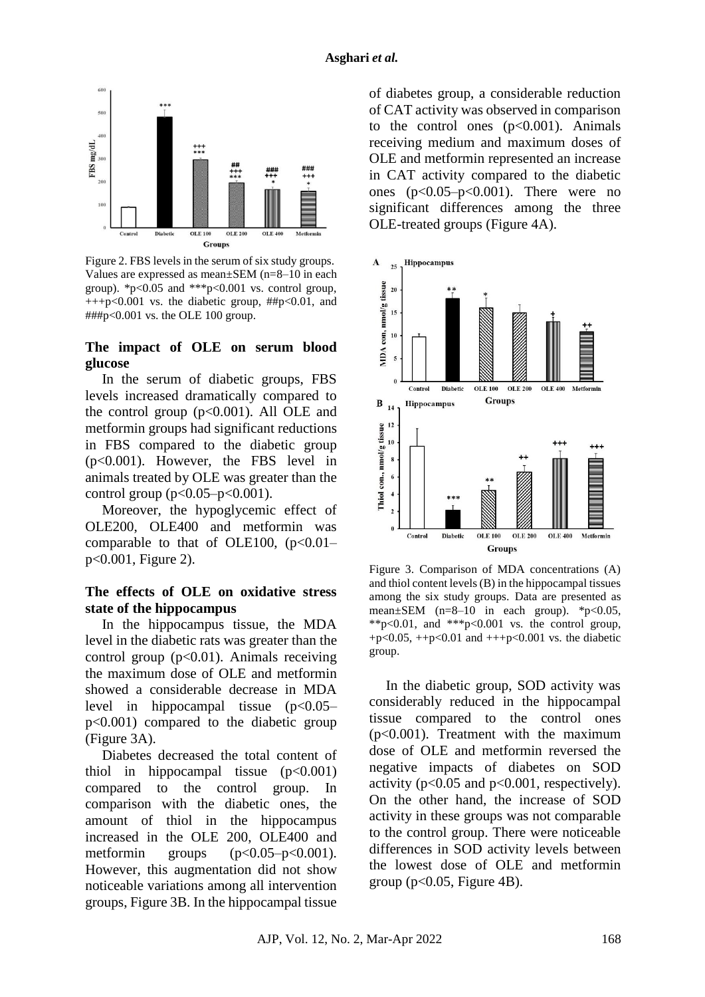

Figure 2. FBS levels in the serum of six study groups. Values are expressed as mean±SEM (n=8–10 in each group). \*p<0.05 and \*\*\*p<0.001 vs. control group,  $+++p<0.001$  vs. the diabetic group,  $\#$ #p $<0.01$ , and ###p<0.001 vs. the OLE 100 group.

#### **The impact of OLE on serum blood glucose**

In the serum of diabetic groups, FBS levels increased dramatically compared to the control group  $(p<0.001)$ . All OLE and metformin groups had significant reductions in FBS compared to the diabetic group (p<0.001). However, the FBS level in animals treated by OLE was greater than the control group ( $p < 0.05 - p < 0.001$ ).

Moreover, the hypoglycemic effect of OLE200, OLE400 and metformin was comparable to that of OLE100,  $(p<0.01-$ p<0.001, Figure 2).

#### **The effects of OLE on oxidative stress state of the hippocampus**

In the hippocampus tissue, the MDA level in the diabetic rats was greater than the control group ( $p<0.01$ ). Animals receiving the maximum dose of OLE and metformin showed a considerable decrease in MDA level in hippocampal tissue  $(p<0.05-$ p<0.001) compared to the diabetic group (Figure 3A).

Diabetes decreased the total content of thiol in hippocampal tissue  $(p<0.001)$ compared to the control group. In comparison with the diabetic ones, the amount of thiol in the hippocampus increased in the OLE 200, OLE400 and metformin groups  $(p<0.05-p<0.001)$ . However, this augmentation did not show noticeable variations among all intervention groups, Figure 3B. In the hippocampal tissue

of diabetes group, a considerable reduction of CAT activity was observed in comparison to the control ones  $(p<0.001)$ . Animals receiving medium and maximum doses of OLE and metformin represented an increase in CAT activity compared to the diabetic ones  $(p<0.05-p<0.001)$ . There were no significant differences among the three OLE-treated groups (Figure 4A).



Figure 3. Comparison of MDA concentrations (A) and thiol content levels (B) in the hippocampal tissues among the six study groups. Data are presented as mean $\pm$ SEM (n=8–10 in each group). \*p<0.05, \*\*p<0.01, and \*\*\*p<0.001 vs. the control group, +p<0.05, ++p<0.01 and +++p<0.001 vs. the diabetic group.

In the diabetic group, SOD activity was considerably reduced in the hippocampal tissue compared to the control ones (p<0.001). Treatment with the maximum dose of OLE and metformin reversed the negative impacts of diabetes on SOD activity (p<0.05 and p<0.001, respectively). On the other hand, the increase of SOD activity in these groups was not comparable to the control group. There were noticeable differences in SOD activity levels between the lowest dose of OLE and metformin group ( $p<0.05$ , Figure 4B).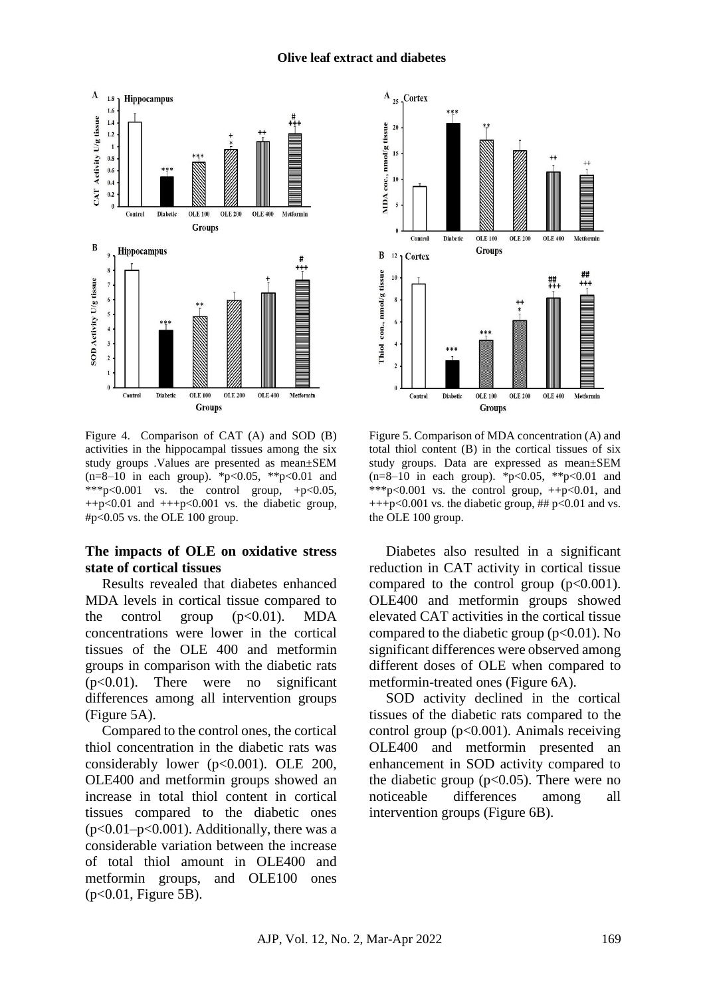#### **Olive leaf extract and diabetes**



Figure 4. Comparison of CAT (A) and SOD (B) activities in the hippocampal tissues among the six study groups .Values are presented as mean±SEM  $(n=8-10$  in each group). \*p<0.05, \*\*p<0.01 and \*\*\*p<0.001 vs. the control group,  $+p<0.05$ ,  $++p<0.01$  and  $++p<0.001$  vs. the diabetic group, #p<0.05 vs. the OLE 100 group.

#### **The impacts of OLE on oxidative stress state of cortical tissues**

Results revealed that diabetes enhanced MDA levels in cortical tissue compared to the control group  $(p<0.01)$ . MDA concentrations were lower in the cortical tissues of the OLE 400 and metformin groups in comparison with the diabetic rats (p<0.01). There were no significant differences among all intervention groups (Figure 5A).

Compared to the control ones, the cortical thiol concentration in the diabetic rats was considerably lower (p<0.001). OLE 200, OLE400 and metformin groups showed an increase in total thiol content in cortical tissues compared to the diabetic ones  $(p<0.01-p<0.001)$ . Additionally, there was a considerable variation between the increase of total thiol amount in OLE400 and metformin groups, and OLE100 ones (p<0.01, Figure 5B).



Figure 5. Comparison of MDA concentration (A) and total thiol content (B) in the cortical tissues of six study groups. Data are expressed as mean±SEM  $(n=8-10)$  in each group). \*p<0.05, \*\*p<0.01 and \*\*\*p<0.001 vs. the control group,  $++p<0.01$ , and  $++p<0.001$  vs. the diabetic group, ##  $p<0.01$  and vs. the OLE 100 group.

Diabetes also resulted in a significant reduction in CAT activity in cortical tissue compared to the control group  $(p<0.001)$ . OLE400 and metformin groups showed elevated CAT activities in the cortical tissue compared to the diabetic group  $(p<0.01)$ . No significant differences were observed among different doses of OLE when compared to metformin-treated ones (Figure 6A).

SOD activity declined in the cortical tissues of the diabetic rats compared to the control group ( $p<0.001$ ). Animals receiving OLE400 and metformin presented an enhancement in SOD activity compared to the diabetic group  $(p<0.05)$ . There were no noticeable differences among all intervention groups (Figure 6B).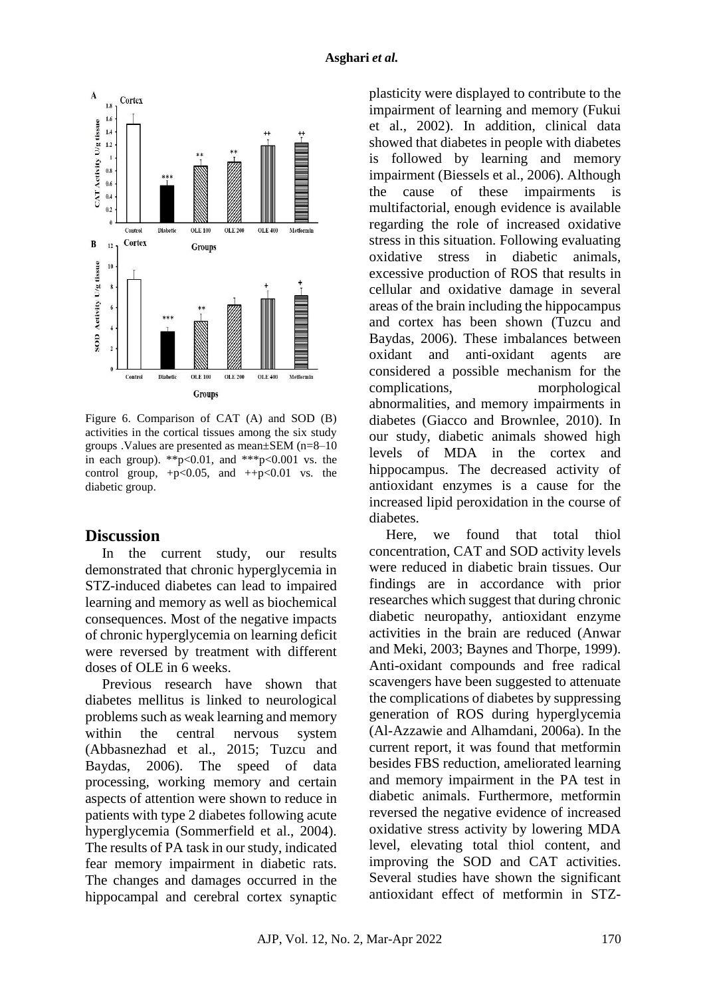

Figure 6. Comparison of CAT (A) and SOD (B) activities in the cortical tissues among the six study groups .Values are presented as mean±SEM (n=8–10 in each group).  $*p<0.01$ , and  $**p<0.001$  vs. the control group,  $+p<0.05$ , and  $+p<0.01$  vs. the diabetic group.

## **Discussion**

In the current study, our results demonstrated that chronic hyperglycemia in STZ-induced diabetes can lead to impaired learning and memory as well as biochemical consequences. Most of the negative impacts of chronic hyperglycemia on learning deficit were reversed by treatment with different doses of OLE in 6 weeks.

Previous research have shown that diabetes mellitus is linked to neurological problems such as weak learning and memory within the central nervous system (Abbasnezhad et al., 2015; Tuzcu and Baydas, 2006). The speed of data processing, working memory and certain aspects of attention were shown to reduce in patients with type 2 diabetes following acute hyperglycemia (Sommerfield et al., 2004). The results of PA task in our study, indicated fear memory impairment in diabetic rats. The changes and damages occurred in the hippocampal and cerebral cortex synaptic

plasticity were displayed to contribute to the impairment of learning and memory (Fukui et al., 2002). In addition, clinical data showed that diabetes in people with diabetes is followed by learning and memory impairment (Biessels et al., 2006). Although the cause of these impairments is multifactorial, enough evidence is available regarding the role of increased oxidative stress in this situation. Following evaluating oxidative stress in diabetic animals, excessive production of ROS that results in cellular and oxidative damage in several areas of the brain including the hippocampus and cortex has been shown (Tuzcu and Baydas, 2006). These imbalances between oxidant and anti-oxidant agents are considered a possible mechanism for the complications, morphological abnormalities, and memory impairments in diabetes (Giacco and Brownlee, 2010). In our study, diabetic animals showed high levels of MDA in the cortex and hippocampus. The decreased activity of antioxidant enzymes is a cause for the increased lipid peroxidation in the course of diabetes.

Here, we found that total thiol concentration, CAT and SOD activity levels were reduced in diabetic brain tissues. Our findings are in accordance with prior researches which suggest that during chronic diabetic neuropathy, antioxidant enzyme activities in the brain are reduced (Anwar and Meki, 2003; Baynes and Thorpe, 1999). Anti-oxidant compounds and free radical scavengers have been suggested to attenuate the complications of diabetes by suppressing generation of ROS during hyperglycemia (Al-Azzawie and Alhamdani, 2006a). In the current report, it was found that metformin besides FBS reduction, ameliorated learning and memory impairment in the PA test in diabetic animals. Furthermore, metformin reversed the negative evidence of increased oxidative stress activity by lowering MDA level, elevating total thiol content, and improving the SOD and CAT activities. Several studies have shown the significant antioxidant effect of metformin in STZ-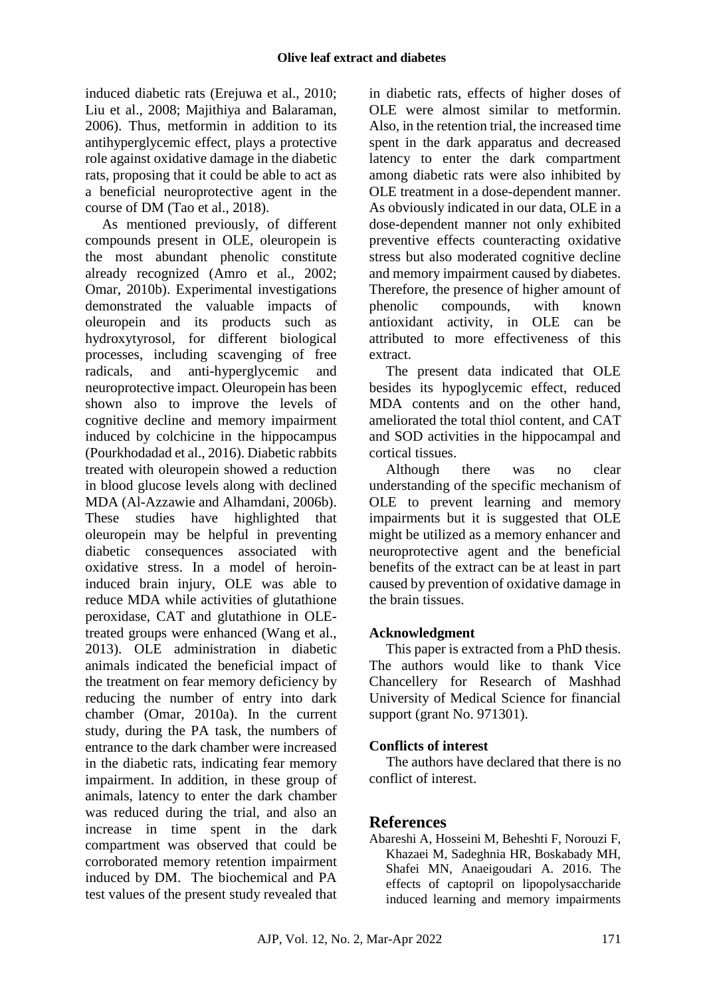induced diabetic rats (Erejuwa et al., 2010; Liu et al., 2008; Majithiya and Balaraman, 2006). Thus, metformin in addition to its antihyperglycemic effect, plays a protective role against oxidative damage in the diabetic rats, proposing that it could be able to act as a beneficial neuroprotective agent in the course of DM (Tao et al., 2018).

As mentioned previously, of different compounds present in OLE, oleuropein is the most abundant phenolic constitute already recognized (Amro et al., 2002; Omar, 2010b). Experimental investigations demonstrated the valuable impacts of oleuropein and its products such as hydroxytyrosol, for different biological processes, including scavenging of free radicals, and anti-hyperglycemic and neuroprotective impact. Oleuropein has been shown also to improve the levels of cognitive decline and memory impairment induced by colchicine in the hippocampus (Pourkhodadad et al., 2016). Diabetic rabbits treated with oleuropein showed a reduction in blood glucose levels along with declined MDA (Al-Azzawie and Alhamdani, 2006b). These studies have highlighted that oleuropein may be helpful in preventing diabetic consequences associated with oxidative stress. In a model of heroininduced brain injury, OLE was able to reduce MDA while activities of glutathione peroxidase, CAT and glutathione in OLEtreated groups were enhanced (Wang et al., 2013). OLE administration in diabetic animals indicated the beneficial impact of the treatment on fear memory deficiency by reducing the number of entry into dark chamber (Omar, 2010a). In the current study, during the PA task, the numbers of entrance to the dark chamber were increased in the diabetic rats, indicating fear memory impairment. In addition, in these group of animals, latency to enter the dark chamber was reduced during the trial, and also an increase in time spent in the dark compartment was observed that could be corroborated memory retention impairment induced by DM. The biochemical and PA test values of the present study revealed that

in diabetic rats, effects of higher doses of OLE were almost similar to metformin. Also, in the retention trial, the increased time spent in the dark apparatus and decreased latency to enter the dark compartment among diabetic rats were also inhibited by OLE treatment in a dose-dependent manner. As obviously indicated in our data, OLE in a dose-dependent manner not only exhibited preventive effects counteracting oxidative stress but also moderated cognitive decline and memory impairment caused by diabetes. Therefore, the presence of higher amount of phenolic compounds, with known antioxidant activity, in OLE can be attributed to more effectiveness of this extract.

The present data indicated that OLE besides its hypoglycemic effect, reduced MDA contents and on the other hand, ameliorated the total thiol content, and CAT and SOD activities in the hippocampal and cortical tissues.

Although there was no clear understanding of the specific mechanism of OLE to prevent learning and memory impairments but it is suggested that OLE might be utilized as a memory enhancer and neuroprotective agent and the beneficial benefits of the extract can be at least in part caused by prevention of oxidative damage in the brain tissues.

## **Acknowledgment**

This paper is extracted from a PhD thesis. The authors would like to thank Vice Chancellery for Research of Mashhad University of Medical Science for financial support (grant No. 971301).

## **Conflicts of interest**

The authors have declared that there is no conflict of interest.

# **References**

Abareshi A, Hosseini M, Beheshti F, Norouzi F, Khazaei M, Sadeghnia HR, Boskabady MH, Shafei MN, Anaeigoudari A. 2016. The effects of captopril on lipopolysaccharide induced learning and memory impairments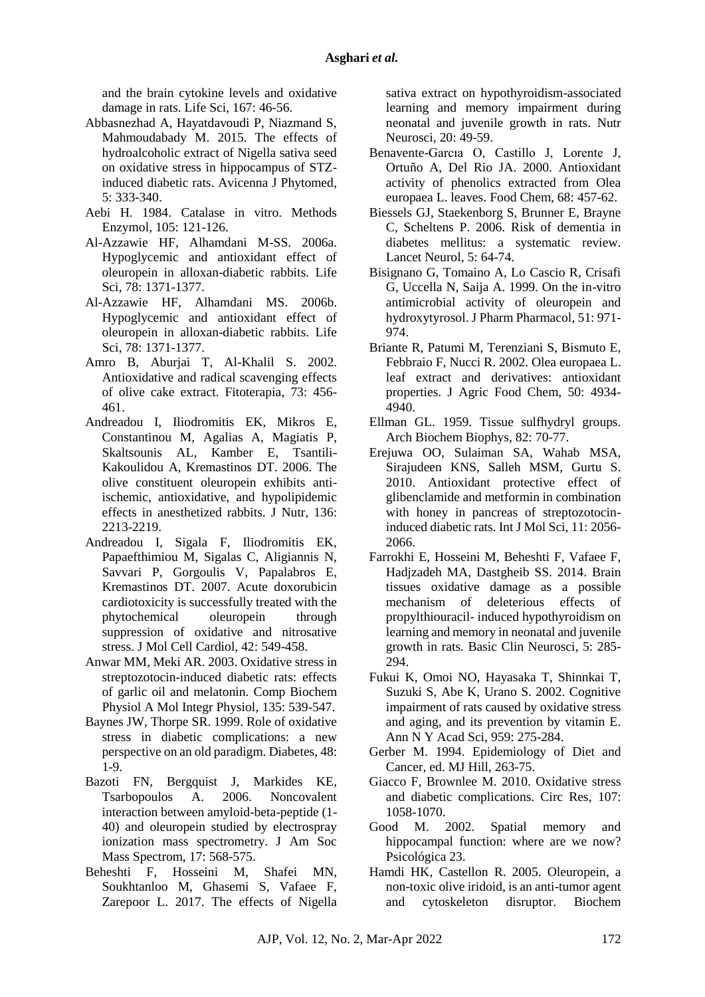and the brain cytokine levels and oxidative damage in rats. Life Sci, 167: 46-56.

- Abbasnezhad A, Hayatdavoudi P, Niazmand S, Mahmoudabady M. 2015. The effects of hydroalcoholic extract of Nigella sativa seed on oxidative stress in hippocampus of STZinduced diabetic rats. Avicenna J Phytomed, 5: 333-340.
- Aebi H. 1984. Catalase in vitro. Methods Enzymol, 105: 121-126.
- Al-Azzawie HF, Alhamdani M-SS. 2006a. Hypoglycemic and antioxidant effect of oleuropein in alloxan-diabetic rabbits. Life Sci, 78: 1371-1377.
- Al-Azzawie HF, Alhamdani MS. 2006b. Hypoglycemic and antioxidant effect of oleuropein in alloxan-diabetic rabbits. Life Sci, 78: 1371-1377.
- Amro B, Aburjai T, Al-Khalil S. 2002. Antioxidative and radical scavenging effects of olive cake extract. Fitoterapia, 73: 456- 461.
- Andreadou I, Iliodromitis EK, Mikros E, Constantinou M, Agalias A, Magiatis P, Skaltsounis AL, Kamber E, Tsantili-Kakoulidou A, Kremastinos DT. 2006. The olive constituent oleuropein exhibits antiischemic, antioxidative, and hypolipidemic effects in anesthetized rabbits. J Nutr, 136: 2213-2219.
- Andreadou I, Sigala F, Iliodromitis EK, Papaefthimiou M, Sigalas C, Aligiannis N, Savvari P, Gorgoulis V, Papalabros E, Kremastinos DT. 2007. Acute doxorubicin cardiotoxicity is successfully treated with the phytochemical oleuropein through suppression of oxidative and nitrosative stress. J Mol Cell Cardiol, 42: 549-458.
- Anwar MM, Meki AR. 2003. Oxidative stress in streptozotocin-induced diabetic rats: effects of garlic oil and melatonin. Comp Biochem Physiol A Mol Integr Physiol, 135: 539-547.
- Baynes JW, Thorpe SR. 1999. Role of oxidative stress in diabetic complications: a new perspective on an old paradigm. Diabetes, 48: 1-9.
- Bazoti FN, Bergquist J, Markides KE,<br>Tsarbopoulos A. 2006. Noncovalent Tsarbopoulos A. 2006. Noncovalent interaction between amyloid-beta-peptide (1- 40) and oleuropein studied by electrospray ionization mass spectrometry. J Am Soc Mass Spectrom, 17: 568-575.
- Beheshti F, Hosseini M, Shafei MN, Soukhtanloo M, Ghasemi S, Vafaee F, Zarepoor L. 2017. The effects of Nigella

sativa extract on hypothyroidism-associated learning and memory impairment during neonatal and juvenile growth in rats. Nutr Neurosci, 20: 49-59.

- Benavente-Garcıa O, Castillo J, Lorente J, Ortuño A, Del Rio JA. 2000. Antioxidant activity of phenolics extracted from Olea europaea L. leaves. Food Chem, 68: 457-62.
- Biessels GJ, Staekenborg S, Brunner E, Brayne C, Scheltens P. 2006. Risk of dementia in diabetes mellitus: a systematic review. Lancet Neurol, 5: 64-74.
- Bisignano G, Tomaino A, Lo Cascio R, Crisafi G, Uccella N, Saija A. 1999. On the in-vitro antimicrobial activity of oleuropein and hydroxytyrosol. J Pharm Pharmacol, 51: 971- 974.
- Briante R, Patumi M, Terenziani S, Bismuto E, Febbraio F, Nucci R. 2002. Olea europaea L. leaf extract and derivatives: antioxidant properties. J Agric Food Chem, 50: 4934- 4940.
- Ellman GL. 1959. Tissue sulfhydryl groups. Arch Biochem Biophys, 82: 70-77.
- Erejuwa OO, Sulaiman SA, Wahab MSA, Sirajudeen KNS, Salleh MSM, Gurtu S. 2010. Antioxidant protective effect of glibenclamide and metformin in combination with honey in pancreas of streptozotocininduced diabetic rats. Int J Mol Sci, 11: 2056- 2066.
- Farrokhi E, Hosseini M, Beheshti F, Vafaee F, Hadjzadeh MA, Dastgheib SS. 2014. Brain tissues oxidative damage as a possible mechanism of deleterious effects of propylthiouracil- induced hypothyroidism on learning and memory in neonatal and juvenile growth in rats. Basic Clin Neurosci, 5: 285- 294.
- Fukui K, Omoi NO, Hayasaka T, Shinnkai T, Suzuki S, Abe K, Urano S. 2002. Cognitive impairment of rats caused by oxidative stress and aging, and its prevention by vitamin E. Ann N Y Acad Sci, 959: 275-284.
- Gerber M. 1994. Epidemiology of Diet and Cancer, ed. MJ Hill, 263-75.
- Giacco F, Brownlee M. 2010. Oxidative stress and diabetic complications. Circ Res, 107: 1058-1070.
- Good M. 2002. Spatial memory and hippocampal function: where are we now? Psicológica 23.
- Hamdi HK, Castellon R. 2005. Oleuropein, a non-toxic olive iridoid, is an anti-tumor agent and cytoskeleton disruptor. Biochem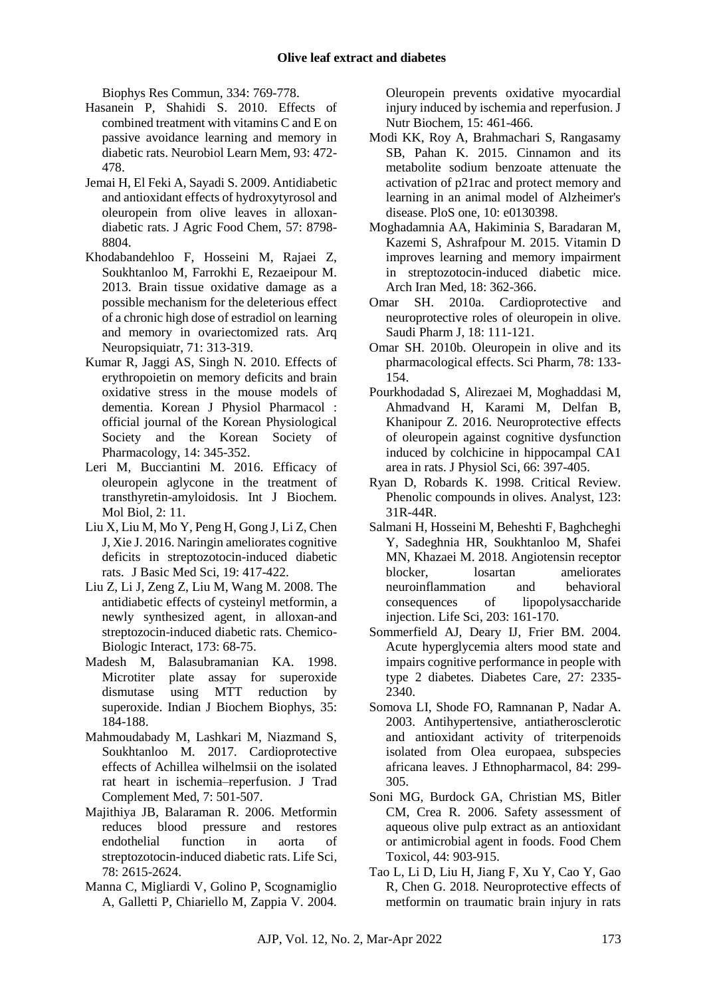Biophys Res Commun, 334: 769-778.

- Hasanein P, Shahidi S. 2010. Effects of combined treatment with vitamins C and E on passive avoidance learning and memory in diabetic rats. Neurobiol Learn Mem, 93: 472- 478.
- Jemai H, El Feki A, Sayadi S. 2009. Antidiabetic and antioxidant effects of hydroxytyrosol and oleuropein from olive leaves in alloxandiabetic rats. J Agric Food Chem, 57: 8798- 8804.
- Khodabandehloo F, Hosseini M, Rajaei Z, Soukhtanloo M, Farrokhi E, Rezaeipour M. 2013. Brain tissue oxidative damage as a possible mechanism for the deleterious effect of a chronic high dose of estradiol on learning and memory in ovariectomized rats. Arq Neuropsiquiatr, 71: 313-319.
- Kumar R, Jaggi AS, Singh N. 2010. Effects of erythropoietin on memory deficits and brain oxidative stress in the mouse models of dementia. Korean J Physiol Pharmacol : official journal of the Korean Physiological Society and the Korean Society of Pharmacology, 14: 345-352.
- Leri M, Bucciantini M. 2016. Efficacy of oleuropein aglycone in the treatment of transthyretin-amyloidosis. Int J Biochem. Mol Biol, 2: 11.
- Liu X, Liu M, Mo Y, Peng H, Gong J, Li Z, Chen J, Xie J. 2016. Naringin ameliorates cognitive deficits in streptozotocin-induced diabetic rats. J Basic Med Sci, 19: 417-422.
- Liu Z, Li J, Zeng Z, Liu M, Wang M. 2008. The antidiabetic effects of cysteinyl metformin, a newly synthesized agent, in alloxan-and streptozocin-induced diabetic rats. Chemico-Biologic Interact, 173: 68-75.
- Madesh M, Balasubramanian KA. 1998. Microtiter plate assay for superoxide dismutase using MTT reduction by superoxide. Indian J Biochem Biophys, 35: 184-188.
- Mahmoudabady M, Lashkari M, Niazmand S, Soukhtanloo M. 2017. Cardioprotective effects of Achillea wilhelmsii on the isolated rat heart in ischemia–reperfusion. J Trad Complement Med, 7: 501-507.
- Majithiya JB, Balaraman R. 2006. Metformin reduces blood pressure and restores endothelial function in aorta of streptozotocin-induced diabetic rats. Life Sci, 78: 2615-2624.
- Manna C, Migliardi V, Golino P, Scognamiglio A, Galletti P, Chiariello M, Zappia V. 2004.

Oleuropein prevents oxidative myocardial injury induced by ischemia and reperfusion. J Nutr Biochem, 15: 461-466.

- Modi KK, Roy A, Brahmachari S, Rangasamy SB, Pahan K. 2015. Cinnamon and its metabolite sodium benzoate attenuate the activation of p21rac and protect memory and learning in an animal model of Alzheimer's disease. PloS one, 10: e0130398.
- Moghadamnia AA, Hakiminia S, Baradaran M, Kazemi S, Ashrafpour M. 2015. Vitamin D improves learning and memory impairment in streptozotocin-induced diabetic mice. Arch Iran Med, 18: 362-366.
- Omar SH. 2010a. Cardioprotective and neuroprotective roles of oleuropein in olive. Saudi Pharm J, 18: 111-121.
- Omar SH. 2010b. Oleuropein in olive and its pharmacological effects. Sci Pharm, 78: 133- 154.
- Pourkhodadad S, Alirezaei M, Moghaddasi M, Ahmadvand H, Karami M, Delfan B, Khanipour Z. 2016. Neuroprotective effects of oleuropein against cognitive dysfunction induced by colchicine in hippocampal CA1 area in rats. J Physiol Sci, 66: 397-405.
- Ryan D, Robards K. 1998. Critical Review. Phenolic compounds in olives. Analyst, 123: 31R-44R.
- Salmani H, Hosseini M, Beheshti F, Baghcheghi Y, Sadeghnia HR, Soukhtanloo M, Shafei MN, Khazaei M. 2018. Angiotensin receptor blocker, losartan ameliorates neuroinflammation and behavioral consequences of lipopolysaccharide injection. Life Sci, 203: 161-170.
- Sommerfield AJ, Deary IJ, Frier BM. 2004. Acute hyperglycemia alters mood state and impairs cognitive performance in people with type 2 diabetes. Diabetes Care, 27: 2335- 2340.
- Somova LI, Shode FO, Ramnanan P, Nadar A. 2003. Antihypertensive, antiatherosclerotic and antioxidant activity of triterpenoids isolated from Olea europaea, subspecies africana leaves. J Ethnopharmacol, 84: 299- 305.
- Soni MG, Burdock GA, Christian MS, Bitler CM, Crea R. 2006. Safety assessment of aqueous olive pulp extract as an antioxidant or antimicrobial agent in foods. Food Chem Toxicol, 44: 903-915.
- Tao L, Li D, Liu H, Jiang F, Xu Y, Cao Y, Gao R, Chen G. 2018. Neuroprotective effects of metformin on traumatic brain injury in rats